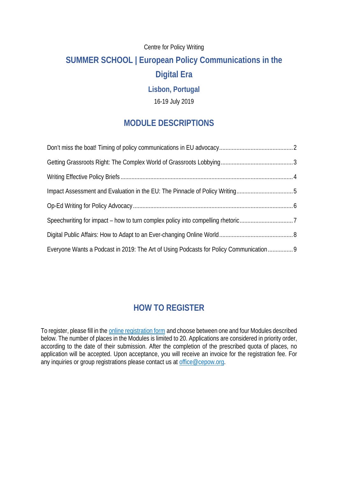#### Centre for Policy Writing

## **SUMMER SCHOOL | European Policy Communications in the Digital Era**

#### **Lisbon, Portugal**

#### 16-19 July 2019

### **MODULE DESCRIPTIONS**

| Everyone Wants a Podcast in 2019: The Art of Using Podcasts for Policy Communication 9 |  |
|----------------------------------------------------------------------------------------|--|

## **HOW TO REGISTER**

To register, please fill in the [online registration form](https://cepow.org/summer-school-registration-form/) and choose between one and four Modules described below. The number of places in the Modules is limited to 20. Applications are considered in priority order, according to the date of their submission. After the completion of the prescribed quota of places, no application will be accepted. Upon acceptance, you will receive an invoice for the registration fee. For any inquiries or group registrations please contact us at [office@cepow.org.](mailto:office@cepow.org)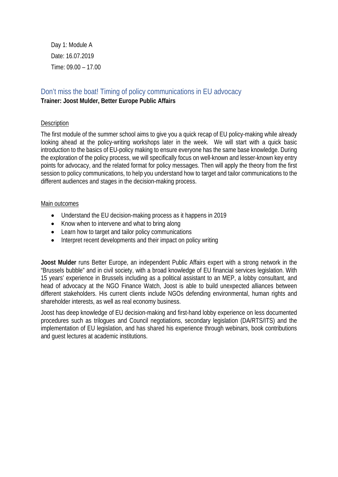Day 1: Module A Date: 16.07.2019 Time: 09.00 – 17.00

#### <span id="page-1-0"></span>Don't miss the boat! Timing of policy communications in EU advocacy **Trainer: Joost Mulder, Better Europe Public Affairs**

#### **Description**

The first module of the summer school aims to give you a quick recap of EU policy-making while already looking ahead at the policy-writing workshops later in the week. We will start with a quick basic introduction to the basics of EU-policy making to ensure everyone has the same base knowledge. During the exploration of the policy process, we will specifically focus on well-known and lesser-known key entry points for advocacy, and the related format for policy messages. Then will apply the theory from the first session to policy communications, to help you understand how to target and tailor communications to the different audiences and stages in the decision-making process.

#### Main outcomes

- Understand the EU decision-making process as it happens in 2019
- Know when to intervene and what to bring along
- Learn how to target and tailor policy communications
- Interpret recent developments and their impact on policy writing

**Joost Mulder** runs Better Europe, an independent Public Affairs expert with a strong network in the "Brussels bubble" and in civil society, with a broad knowledge of EU financial services legislation. With 15 years' experience in Brussels including as a political assistant to an MEP, a lobby consultant, and head of advocacy at the NGO Finance Watch, Joost is able to build unexpected alliances between different stakeholders. His current clients include NGOs defending environmental, human rights and shareholder interests, as well as real economy business.

Joost has deep knowledge of EU decision-making and first-hand lobby experience on less documented procedures such as trilogues and Council negotiations, secondary legislation (DA/RTS/ITS) and the implementation of EU legislation, and has shared his experience through webinars, book contributions and guest lectures at academic institutions.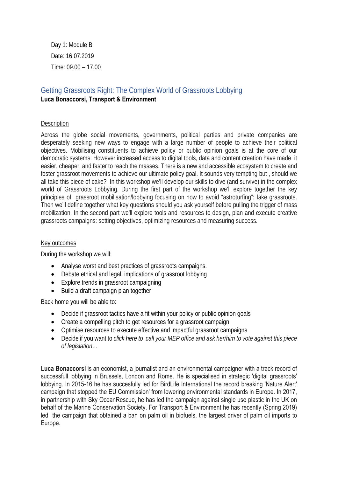Day 1: Module B Date: 16.07.2019 Time: 09.00 – 17.00

#### <span id="page-2-0"></span>Getting Grassroots Right: The Complex World of Grassroots Lobbying **Luca Bonaccorsi, Transport & Environment**

#### **Description**

Across the globe social movements, governments, political parties and private companies are desperately seeking new ways to engage with a large number of people to achieve their political objectives. Mobilising constituents to achieve policy or public opinion goals is at the core of our democratic systems. However increased access to digital tools, data and content creation have made it easier, cheaper, and faster to reach the masses. There is a new and accessible ecosystem to create and foster grassroot movements to achieve our ultimate policy goal. It sounds very tempting but , should we all take this piece of cake? In this workshop we'll develop our skills to dive (and survive) in the complex world of Grassroots Lobbying. During the first part of the workshop we'll explore together the key principles of grassroot mobilisation/lobbying focusing on how to avoid "astroturfing": fake grassroots. Then we'll define together what key questions should you ask yourself before pulling the trigger of mass mobilization. In the second part we'll explore tools and resources to design, plan and execute creative grassroots campaigns: setting objectives, optimizing resources and measuring success.

#### Key outcomes

During the workshop we will:

- Analyse worst and best practices of grassroots campaigns.
- Debate ethical and legal implications of grassroot lobbying
- Explore trends in grassroot campaigning
- Build a draft campaign plan together

Back home you will be able to:

- Decide if grassroot tactics have a fit within your policy or public opinion goals
- Create a compelling pitch to get resources for a grassroot campaign
- Optimise resources to execute effective and impactful grassroot campaigns
- Decide if you want to *click here to call your MEP office and ask her/him to vote against this piece of legislation…*

**Luca Bonaccorsi** is an economist, a journalist and an environmental campaigner with a track record of successfull lobbying in Brussels, London and Rome. He is specialised in strategic 'digital grassroots' lobbying. In 2015-16 he has succesfully led for BirdLife International the record breaking 'Nature Alert' campaign that stopped the EU Commission' from lowering environmental standards in Europe. In 2017, in partnership with Sky OceanRescue, he has led the campaign against single use plastic in the UK on behalf of the Marine Conservation Society. For Transport & Environment he has recently (Spring 2019) led the campaign that obtained a ban on palm oil in biofuels, the largest driver of palm oil imports to Europe.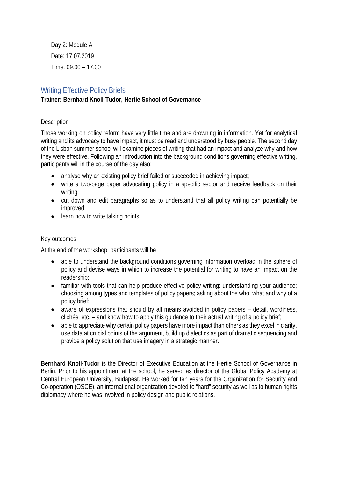Day 2: Module A Date: 17.07.2019 Time: 09.00 – 17.00

#### <span id="page-3-0"></span>Writing Effective Policy Briefs

#### **Trainer: Bernhard Knoll-Tudor, Hertie School of Governance**

#### **Description**

Those working on policy reform have very little time and are drowning in information. Yet for analytical writing and its advocacy to have impact, it must be read and understood by busy people. The second day of the Lisbon summer school will examine pieces of writing that had an impact and analyze why and how they were effective. Following an introduction into the background conditions governing effective writing, participants will in the course of the day also:

- analyse why an existing policy brief failed or succeeded in achieving impact;
- write a two-page paper advocating policy in a specific sector and receive feedback on their writing;
- cut down and edit paragraphs so as to understand that all policy writing can potentially be improved;
- learn how to write talking points.

#### Key outcomes

At the end of the workshop, participants will be

- able to understand the background conditions governing information overload in the sphere of policy and devise ways in which to increase the potential for writing to have an impact on the readership;
- familiar with tools that can help produce effective policy writing: understanding your audience; choosing among types and templates of policy papers; asking about the who, what and why of a policy brief;
- aware of expressions that should by all means avoided in policy papers detail, wordiness, clichés, etc. – and know how to apply this guidance to their actual writing of a policy brief;
- able to appreciate why certain policy papers have more impact than others as they excel in clarity, use data at crucial points of the argument, build up dialectics as part of dramatic sequencing and provide a policy solution that use imagery in a strategic manner.

**Bernhard Knoll-Tudor** is the Director of Executive Education at the Hertie School of Governance in Berlin. Prior to his appointment at the school, he served as director of the Global Policy Academy at Central European University, Budapest. He worked for ten years for the Organization for Security and Co-operation (OSCE), an international organization devoted to "hard" security as well as to human rights diplomacy where he was involved in policy design and public relations.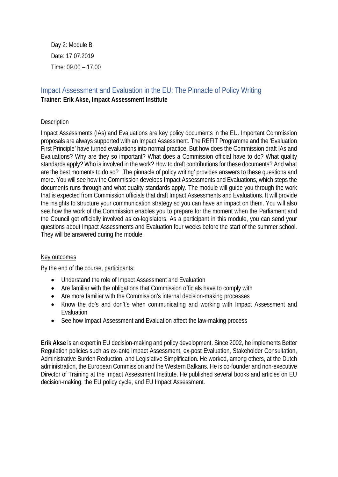Day 2: Module B Date: 17.07.2019 Time: 09.00 – 17.00

#### <span id="page-4-0"></span>Impact Assessment and Evaluation in the EU: The Pinnacle of Policy Writing **Trainer: Erik Akse, Impact Assessment Institute**

#### **Description**

Impact Assessments (IAs) and Evaluations are key policy documents in the EU. Important Commission proposals are always supported with an Impact Assessment. The REFIT Programme and the 'Evaluation First Principle' have turned evaluations into normal practice. But how does the Commission draft IAs and Evaluations? Why are they so important? What does a Commission official have to do? What quality standards apply? Who is involved in the work? How to draft contributions for these documents? And what are the best moments to do so? 'The pinnacle of policy writing' provides answers to these questions and more. You will see how the Commission develops Impact Assessments and Evaluations, which steps the documents runs through and what quality standards apply. The module will guide you through the work that is expected from Commission officials that draft Impact Assessments and Evaluations. It will provide the insights to structure your communication strategy so you can have an impact on them. You will also see how the work of the Commission enables you to prepare for the moment when the Parliament and the Council get officially involved as co-legislators. As a participant in this module, you can send your questions about Impact Assessments and Evaluation four weeks before the start of the summer school. They will be answered during the module.

#### Key outcomes

By the end of the course, participants:

- Understand the role of Impact Assessment and Evaluation
- Are familiar with the obligations that Commission officials have to comply with
- Are more familiar with the Commission's internal decision-making processes
- Know the do's and don't's when communicating and working with Impact Assessment and Evaluation
- See how Impact Assessment and Evaluation affect the law-making process

**Erik Akse** is an expert in EU decision-making and policy development. Since 2002, he implements Better Regulation policies such as ex-ante Impact Assessment, ex-post Evaluation, Stakeholder Consultation, Administrative Burden Reduction, and Legislative Simplification. He worked, among others, at the Dutch administration, the European Commission and the Western Balkans. He is co-founder and non-executive Director of Training at the Impact Assessment Institute. He published several books and articles on EU decision-making, the EU policy cycle, and EU Impact Assessment.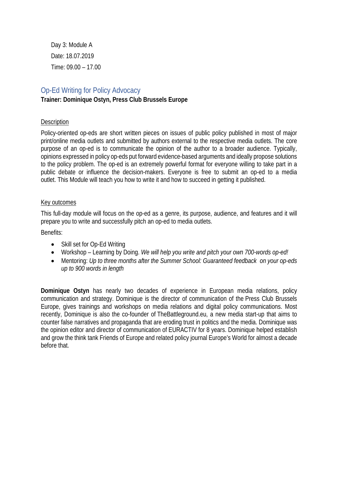Day 3: Module A Date: 18.07.2019 Time: 09.00 – 17.00

#### <span id="page-5-0"></span>Op-Ed Writing for Policy Advocacy

#### **Trainer: Dominique Ostyn, Press Club Brussels Europe**

#### **Description**

Policy-oriented op-eds are short written pieces on issues of public policy published in most of major print/online media outlets and submitted by authors external to the respective media outlets. The core purpose of an op-ed is to communicate the opinion of the author to a broader audience. Typically, opinions expressed in policy op-eds put forward evidence-based arguments and ideally propose solutions to the policy problem. The op-ed is an extremely powerful format for everyone willing to take part in a public debate or influence the decision-makers. Everyone is free to submit an op-ed to a media outlet. This Module will teach you how to write it and how to succeed in getting it published.

#### Key outcomes

This full-day module will focus on the op-ed as a genre, its purpose, audience, and features and it will prepare you to write and successfully pitch an op-ed to media outlets.

Benefits:

- Skill set for Op-Ed Writing
- Workshop Learning by Doing. *We will help you write and pitch your own 700-words op-ed!*
- Mentoring: *Up to three months after the Summer School: Guaranteed feedback on your op-eds up to 900 words in length*

**Dominique Ostyn** has nearly two decades of experience in European media relations, policy communication and strategy. Dominique is the director of communication of the Press Club Brussels Europe, gives trainings and workshops on media relations and digital policy communications. Most recently, Dominique is also the co-founder of [TheBattleground.eu,](http://www.thebattleground.eu/) a new media start-up that aims to counter false narratives and propaganda that are eroding trust in politics and the media. Dominique was the opinion editor and director of communication of [EURACTIV](http://www.euractiv.com/) for 8 years. Dominique helped establish and grow the think tank Friends of Europe and related policy journal Europe's World for almost a decade before that.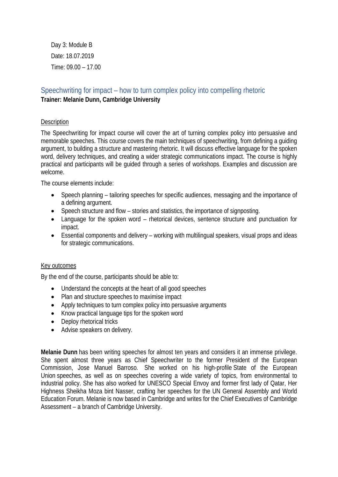Day 3: Module B Date: 18.07.2019 Time: 09.00 – 17.00

#### <span id="page-6-0"></span>Speechwriting for impact – how to turn complex policy into compelling rhetoric **Trainer: Melanie Dunn, Cambridge University**

#### **Description**

The Speechwriting for impact course will cover the art of turning complex policy into persuasive and memorable speeches. This course covers the main techniques of speechwriting, from defining a guiding argument, to building a structure and mastering rhetoric. It will discuss effective language for the spoken word, delivery techniques, and creating a wider strategic communications impact. The course is highly practical and participants will be guided through a series of workshops. Examples and discussion are welcome.

The course elements include:

- Speech planning tailoring speeches for specific audiences, messaging and the importance of a defining argument.
- Speech structure and flow stories and statistics, the importance of signposting.
- Language for the spoken word rhetorical devices, sentence structure and punctuation for impact.
- Essential components and delivery working with multilingual speakers, visual props and ideas for strategic communications.

#### Key outcomes

By the end of the course, participants should be able to:

- Understand the concepts at the heart of all good speeches
- Plan and structure speeches to maximise impact
- Apply techniques to turn complex policy into persuasive arguments
- Know practical language tips for the spoken word
- Deploy rhetorical tricks
- Advise speakers on delivery.

**Melanie Dunn** has been writing speeches for almost ten years and considers it an immense privilege. She spent almost three years as Chief Speechwriter to the former President of the European Commission, Jose Manuel Barroso. She worked on his high-profile [State of the European](http://ec.europa.eu/soteu2012/)  [Union](http://ec.europa.eu/soteu2012/) speeches, as well as on speeches covering a wide variety of topics, from environmental to industrial policy. She has also worked for UNESCO Special Envoy and former first lady of Qatar, Her Highness Sheikha Moza bint Nasser, crafting her speeches for the UN General Assembly and World Education Forum. Melanie is now based in Cambridge and writes for the Chief Executives of [Cambridge](http://www.cambridgeassessment.org.uk/)  [Assessment](http://www.cambridgeassessment.org.uk/) – a branch of Cambridge University.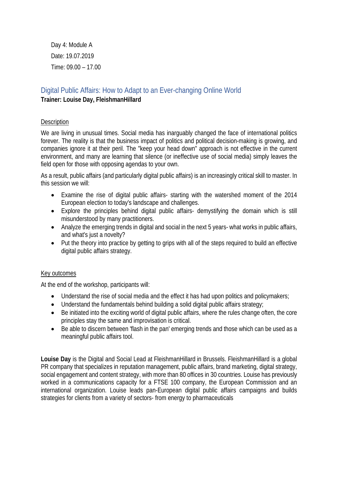Day 4: Module A Date: 19.07.2019 Time: 09.00 – 17.00

#### <span id="page-7-0"></span>Digital Public Affairs: How to Adapt to an Ever-changing Online World **Trainer: Louise Day, FleishmanHillard**

#### **Description**

We are living in unusual times. Social media has inarguably changed the face of international politics forever. The reality is that the business impact of politics and political decision-making is growing, and companies ignore it at their peril. The "keep your head down" approach is not effective in the current environment, and many are learning that silence (or ineffective use of social media) simply leaves the field open for those with opposing agendas to your own.

As a result, public affairs (and particularly digital public affairs) is an increasingly critical skill to master. In this session we will:

- Examine the rise of digital public affairs- starting with the watershed moment of the 2014 European election to today's landscape and challenges.
- Explore the principles behind digital public affairs- demystifying the domain which is still misunderstood by many practitioners.
- Analyze the emerging trends in digital and social in the next 5 years- what works in public affairs, and what's just a novelty?
- Put the theory into practice by getting to grips with all of the steps required to build an effective digital public affairs strategy.

#### Key outcomes

At the end of the workshop, participants will:

- Understand the rise of social media and the effect it has had upon politics and policymakers;
- Understand the fundamentals behind building a solid digital public affairs strategy;
- Be initiated into the exciting world of digital public affairs, where the rules change often, the core principles stay the same and improvisation is critical.
- Be able to discern between 'flash in the pan' emerging trends and those which can be used as a meaningful public affairs tool.

**Louise Day** is the Digital and Social Lead at [FleishmanHillard](https://fleishmanhillard.eu/) in Brussels. FleishmanHillard is a global PR company that specializes in reputation management, public affairs, brand marketing, digital strategy, social engagement and content strategy, with more than 80 offices in 30 countries. Louise has previously worked in a communications capacity for a FTSE 100 company, the European Commission and an international organization. Louise leads pan-European digital public affairs campaigns and builds strategies for clients from a variety of sectors- from energy to pharmaceuticals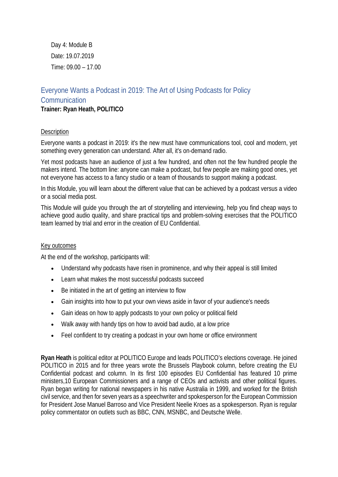Day 4: Module B Date: 19.07.2019 Time: 09.00 – 17.00

## <span id="page-8-0"></span>Everyone Wants a Podcast in 2019: The Art of Using Podcasts for Policy **Communication**

**Trainer: Ryan Heath, POLITICO**

#### **Description**

Everyone wants a podcast in 2019: it's the new must have communications tool, cool and modern, yet something every generation can understand. After all, it's on-demand radio.

Yet most podcasts have an audience of just a few hundred, and often not the few hundred people the makers intend. The bottom line: anyone can make a podcast, but few people are making good ones, yet not everyone has access to a fancy studio or a team of thousands to support making a podcast.

In this Module, you will learn about the different value that can be achieved by a podcast versus a video or a social media post.

This Module will guide you through the art of storytelling and interviewing, help you find cheap ways to achieve good audio quality, and share practical tips and problem-solving exercises that the POLITICO team learned by trial and error in the creation of EU Confidential.

#### Key outcomes

At the end of the workshop, participants will:

- Understand why podcasts have risen in prominence, and why their appeal is still limited
- Learn what makes the most successful podcasts succeed
- Be initiated in the art of getting an interview to flow
- Gain insights into how to put your own views aside in favor of your audience's needs
- Gain ideas on how to apply podcasts to your own policy or political field
- Walk away with handy tips on how to avoid bad audio, at a low price
- Feel confident to try creating a podcast in your own home or office environment

**Ryan Heath** is political editor at POLITICO Europe and leads POLITICO's elections coverage. He joined POLITICO in 2015 and for three years wrote the Brussels Playbook column, before creating the EU Confidential podcast and column. In its first 100 episodes EU Confidential has featured 10 prime ministers,10 European Commissioners and a range of CEOs and activists and other political figures. Ryan began writing for national newspapers in his native Australia in 1999, and worked for the British civil service, and then for seven years as a speechwriter and spokesperson for the European Commission for President Jose Manuel Barroso and Vice President Neelie Kroes as a spokesperson. Ryan is regular policy commentator on outlets such as BBC, CNN, MSNBC, and Deutsche Welle.